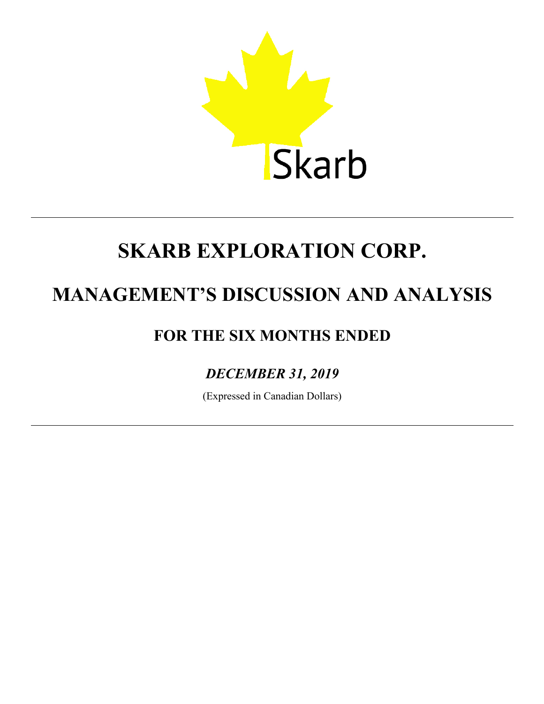

# **MANAGEMENT'S DISCUSSION AND ANALYSIS**

# **FOR THE SIX MONTHS ENDED**

# *DECEMBER 31, 2019*

(Expressed in Canadian Dollars)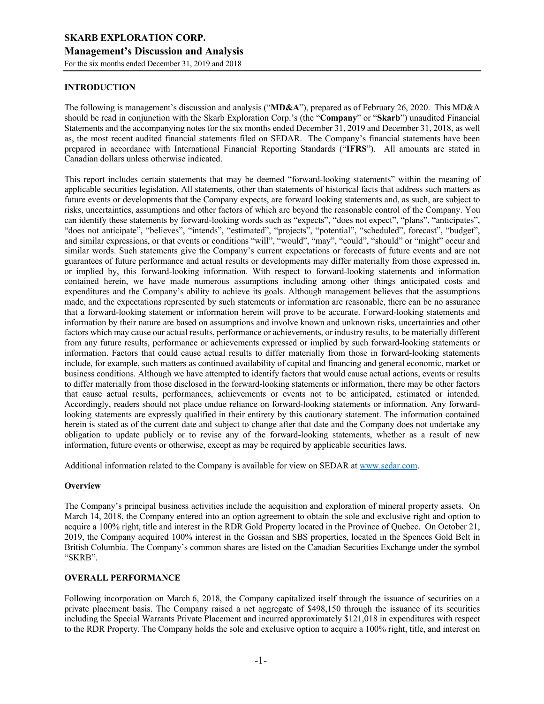# **INTRODUCTION**

The following is management's discussion and analysis ("**MD&A**"), prepared as of February 26, 2020. This MD&A should be read in conjunction with the Skarb Exploration Corp.'s (the "**Company**" or "**Skarb**") unaudited Financial Statements and the accompanying notes for the six months ended December 31, 2019 and December 31, 2018, as well as, the most recent audited financial statements filed on SEDAR. The Company's financial statements have been prepared in accordance with International Financial Reporting Standards ("**IFRS**"). All amounts are stated in Canadian dollars unless otherwise indicated.

This report includes certain statements that may be deemed "forward-looking statements" within the meaning of applicable securities legislation. All statements, other than statements of historical facts that address such matters as future events or developments that the Company expects, are forward looking statements and, as such, are subject to risks, uncertainties, assumptions and other factors of which are beyond the reasonable control of the Company. You can identify these statements by forward-looking words such as "expects", "does not expect", "plans", "anticipates", "does not anticipate", "believes", "intends", "estimated", "projects", "potential", "scheduled", forecast", "budget", and similar expressions, or that events or conditions "will", "would", "may", "could", "should" or "might" occur and similar words. Such statements give the Company's current expectations or forecasts of future events and are not guarantees of future performance and actual results or developments may differ materially from those expressed in, or implied by, this forward-looking information. With respect to forward-looking statements and information contained herein, we have made numerous assumptions including among other things anticipated costs and expenditures and the Company's ability to achieve its goals. Although management believes that the assumptions made, and the expectations represented by such statements or information are reasonable, there can be no assurance that a forward-looking statement or information herein will prove to be accurate. Forward-looking statements and information by their nature are based on assumptions and involve known and unknown risks, uncertainties and other factors which may cause our actual results, performance or achievements, or industry results, to be materially different from any future results, performance or achievements expressed or implied by such forward-looking statements or information. Factors that could cause actual results to differ materially from those in forward-looking statements include, for example, such matters as continued availability of capital and financing and general economic, market or business conditions. Although we have attempted to identify factors that would cause actual actions, events or results to differ materially from those disclosed in the forward-looking statements or information, there may be other factors that cause actual results, performances, achievements or events not to be anticipated, estimated or intended. Accordingly, readers should not place undue reliance on forward-looking statements or information. Any forwardlooking statements are expressly qualified in their entirety by this cautionary statement. The information contained herein is stated as of the current date and subject to change after that date and the Company does not undertake any obligation to update publicly or to revise any of the forward-looking statements, whether as a result of new information, future events or otherwise, except as may be required by applicable securities laws.

Additional information related to the Company is available for view on SEDAR at www.sedar.com.

#### **Overview**

The Company's principal business activities include the acquisition and exploration of mineral property assets. On March 14, 2018, the Company entered into an option agreement to obtain the sole and exclusive right and option to acquire a 100% right, title and interest in the RDR Gold Property located in the Province of Quebec. On October 21, 2019, the Company acquired 100% interest in the Gossan and SBS properties, located in the Spences Gold Belt in British Columbia. The Company's common shares are listed on the Canadian Securities Exchange under the symbol "SKRB".

#### **OVERALL PERFORMANCE**

Following incorporation on March 6, 2018, the Company capitalized itself through the issuance of securities on a private placement basis. The Company raised a net aggregate of \$498,150 through the issuance of its securities including the Special Warrants Private Placement and incurred approximately \$121,018 in expenditures with respect to the RDR Property. The Company holds the sole and exclusive option to acquire a 100% right, title, and interest on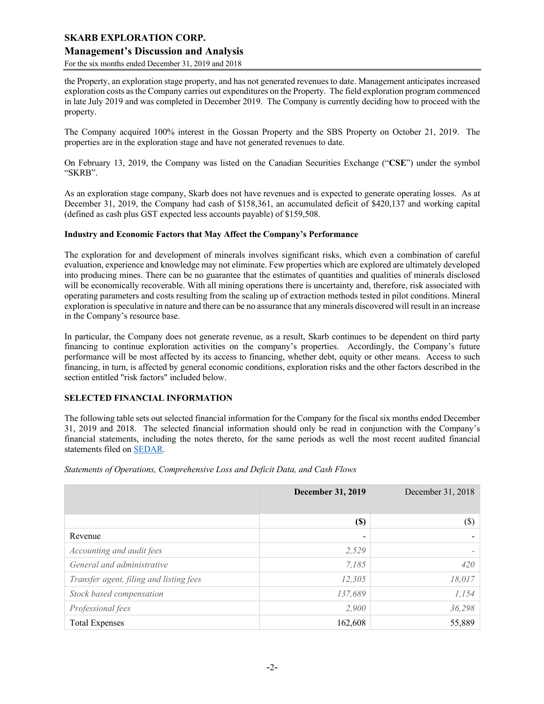# **Management's Discussion and Analysis**

For the six months ended December 31, 2019 and 2018

the Property, an exploration stage property, and has not generated revenues to date. Management anticipates increased exploration costs as the Company carries out expenditures on the Property. The field exploration program commenced in late July 2019 and was completed in December 2019. The Company is currently deciding how to proceed with the property.

The Company acquired 100% interest in the Gossan Property and the SBS Property on October 21, 2019. The properties are in the exploration stage and have not generated revenues to date.

On February 13, 2019, the Company was listed on the Canadian Securities Exchange ("**CSE**") under the symbol "SKRB".

As an exploration stage company, Skarb does not have revenues and is expected to generate operating losses. As at December 31, 2019, the Company had cash of \$158,361, an accumulated deficit of \$420,137 and working capital (defined as cash plus GST expected less accounts payable) of \$159,508.

#### **Industry and Economic Factors that May Affect the Company's Performance**

The exploration for and development of minerals involves significant risks, which even a combination of careful evaluation, experience and knowledge may not eliminate. Few properties which are explored are ultimately developed into producing mines. There can be no guarantee that the estimates of quantities and qualities of minerals disclosed will be economically recoverable. With all mining operations there is uncertainty and, therefore, risk associated with operating parameters and costs resulting from the scaling up of extraction methods tested in pilot conditions. Mineral exploration is speculative in nature and there can be no assurance that any minerals discovered will result in an increase in the Company's resource base.

In particular, the Company does not generate revenue, as a result, Skarb continues to be dependent on third party financing to continue exploration activities on the company's properties. Accordingly, the Company's future performance will be most affected by its access to financing, whether debt, equity or other means. Access to such financing, in turn, is affected by general economic conditions, exploration risks and the other factors described in the section entitled "risk factors" included below.

#### **SELECTED FINANCIAL INFORMATION**

The following table sets out selected financial information for the Company for the fiscal six months ended December 31, 2019 and 2018. The selected financial information should only be read in conjunction with the Company's financial statements, including the notes thereto, for the same periods as well the most recent audited financial statements filed on SEDAR.

*Statements of Operations, Comprehensive Loss and Deficit Data, and Cash Flows*

|                                         | <b>December 31, 2019</b> | December 31, 2018 |
|-----------------------------------------|--------------------------|-------------------|
|                                         | $(\$)$                   | (S)               |
| Revenue                                 | -                        |                   |
| Accounting and audit fees               | 2,529                    |                   |
| General and administrative              | 7,185                    | 420               |
| Transfer agent, filing and listing fees | 12,305                   | 18,017            |
| Stock based compensation                | 137,689                  | 1,154             |
| Professional fees                       | 2,900                    | 36,298            |
| <b>Total Expenses</b>                   | 162,608                  | 55,889            |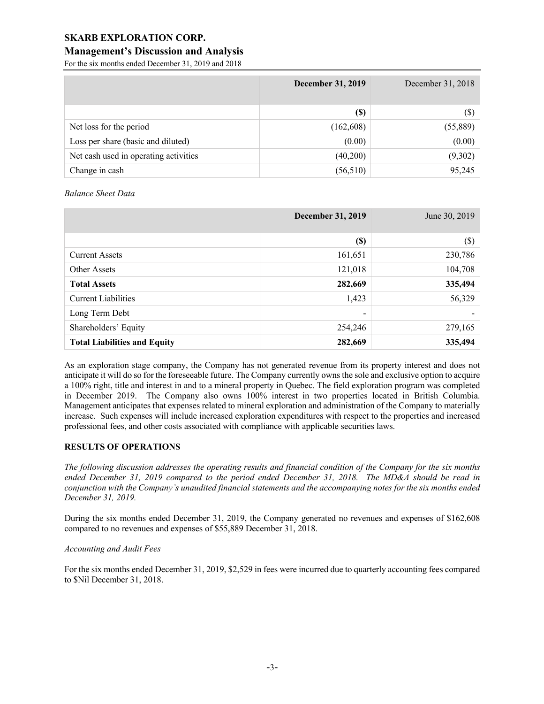# **Management's Discussion and Analysis**

For the six months ended December 31, 2019 and 2018

|                                       | <b>December 31, 2019</b> | December 31, 2018 |
|---------------------------------------|--------------------------|-------------------|
|                                       | <b>(\$)</b>              | $(\$)$            |
| Net loss for the period               | (162,608)                | (55,889)          |
| Loss per share (basic and diluted)    | (0.00)                   | (0.00)            |
| Net cash used in operating activities | (40,200)                 | (9,302)           |
| Change in cash                        | (56, 510)                | 95,245            |

*Balance Sheet Data*

|                                     | <b>December 31, 2019</b> | June 30, 2019 |
|-------------------------------------|--------------------------|---------------|
|                                     |                          |               |
|                                     | $(\$)$                   | $(\$\)$       |
| <b>Current Assets</b>               | 161,651                  | 230,786       |
| Other Assets                        | 121,018                  | 104,708       |
| <b>Total Assets</b>                 | 282,669                  | 335,494       |
| <b>Current Liabilities</b>          | 1,423                    | 56,329        |
| Long Term Debt                      | $\overline{\phantom{0}}$ |               |
| Shareholders' Equity                | 254,246                  | 279,165       |
| <b>Total Liabilities and Equity</b> | 282,669                  | 335,494       |

As an exploration stage company, the Company has not generated revenue from its property interest and does not anticipate it will do so for the foreseeable future. The Company currently owns the sole and exclusive option to acquire a 100% right, title and interest in and to a mineral property in Quebec. The field exploration program was completed in December 2019. The Company also owns 100% interest in two properties located in British Columbia. Management anticipates that expenses related to mineral exploration and administration of the Company to materially increase. Such expenses will include increased exploration expenditures with respect to the properties and increased professional fees, and other costs associated with compliance with applicable securities laws.

# **RESULTS OF OPERATIONS**

*The following discussion addresses the operating results and financial condition of the Company for the six months ended December 31, 2019 compared to the period ended December 31, 2018. The MD&A should be read in conjunction with the Company's unaudited financial statements and the accompanying notes for the six months ended December 31, 2019.*

During the six months ended December 31, 2019, the Company generated no revenues and expenses of \$162,608 compared to no revenues and expenses of \$55,889 December 31, 2018.

#### *Accounting and Audit Fees*

For the six months ended December 31, 2019, \$2,529 in fees were incurred due to quarterly accounting fees compared to \$Nil December 31, 2018.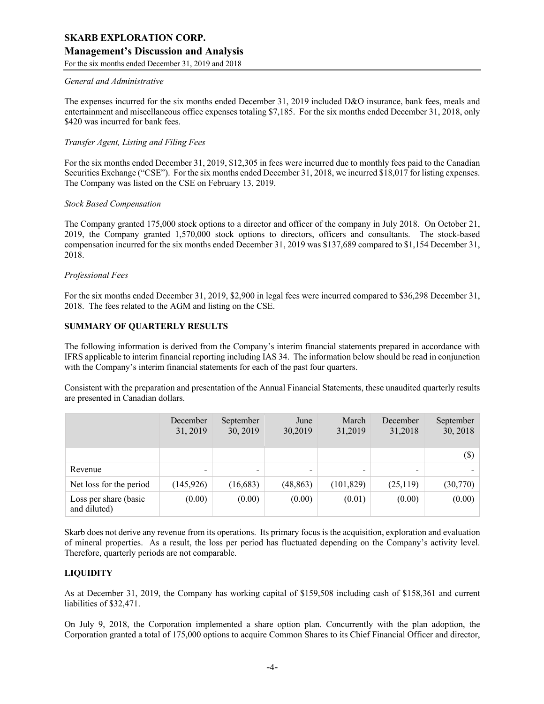# **Management's Discussion and Analysis**

For the six months ended December 31, 2019 and 2018

#### *General and Administrative*

The expenses incurred for the six months ended December 31, 2019 included D&O insurance, bank fees, meals and entertainment and miscellaneous office expenses totaling \$7,185. For the six months ended December 31, 2018, only \$420 was incurred for bank fees.

#### *Transfer Agent, Listing and Filing Fees*

For the six months ended December 31, 2019, \$12,305 in fees were incurred due to monthly fees paid to the Canadian Securities Exchange ("CSE"). For the six months ended December 31, 2018, we incurred \$18,017 for listing expenses. The Company was listed on the CSE on February 13, 2019.

#### *Stock Based Compensation*

The Company granted 175,000 stock options to a director and officer of the company in July 2018. On October 21, 2019, the Company granted 1,570,000 stock options to directors, officers and consultants. The stock-based compensation incurred for the six months ended December 31, 2019 was \$137,689 compared to \$1,154 December 31, 2018.

#### *Professional Fees*

For the six months ended December 31, 2019, \$2,900 in legal fees were incurred compared to \$36,298 December 31, 2018. The fees related to the AGM and listing on the CSE.

#### **SUMMARY OF QUARTERLY RESULTS**

The following information is derived from the Company's interim financial statements prepared in accordance with IFRS applicable to interim financial reporting including IAS 34. The information below should be read in conjunction with the Company's interim financial statements for each of the past four quarters.

Consistent with the preparation and presentation of the Annual Financial Statements, these unaudited quarterly results are presented in Canadian dollars.

|                                       | December<br>31, 2019     | September<br>30, 2019    | June<br>30,2019 | March<br>31,2019 | December<br>31,2018      | September<br>30, 2018 |
|---------------------------------------|--------------------------|--------------------------|-----------------|------------------|--------------------------|-----------------------|
|                                       |                          |                          |                 |                  |                          | $(\$\)$               |
| Revenue                               | $\overline{\phantom{0}}$ | $\overline{\phantom{0}}$ | -               | -                | $\overline{\phantom{0}}$ |                       |
| Net loss for the period               | (145, 926)               | (16,683)                 | (48, 863)       | (101, 829)       | (25, 119)                | (30,770)              |
| Loss per share (basic<br>and diluted) | (0.00)                   | (0.00)                   | (0.00)          | (0.01)           | (0.00)                   | (0.00)                |

Skarb does not derive any revenue from its operations. Its primary focus is the acquisition, exploration and evaluation of mineral properties. As a result, the loss per period has fluctuated depending on the Company's activity level. Therefore, quarterly periods are not comparable.

# **LIQUIDITY**

As at December 31, 2019, the Company has working capital of \$159,508 including cash of \$158,361 and current liabilities of \$32,471.

On July 9, 2018, the Corporation implemented a share option plan. Concurrently with the plan adoption, the Corporation granted a total of 175,000 options to acquire Common Shares to its Chief Financial Officer and director,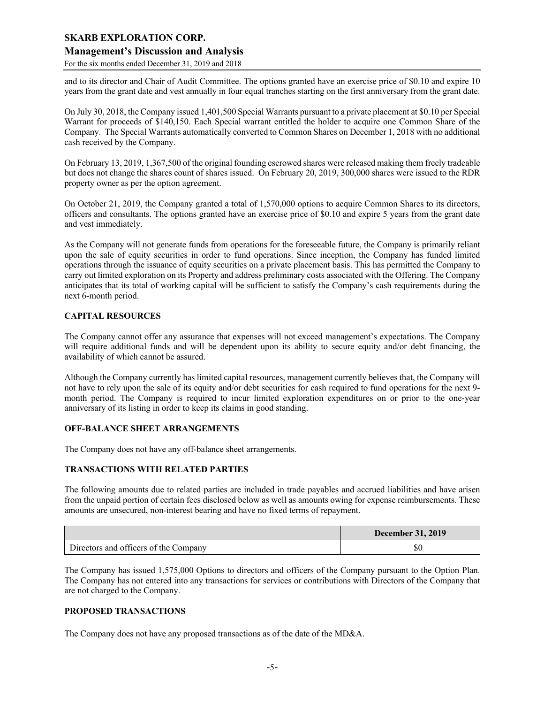# **Management's Discussion and Analysis**

For the six months ended December 31, 2019 and 2018

and to its director and Chair of Audit Committee. The options granted have an exercise price of \$0.10 and expire 10 years from the grant date and vest annually in four equal tranches starting on the first anniversary from the grant date.

On July 30, 2018, the Company issued 1,401,500 Special Warrants pursuant to a private placement at \$0.10 per Special Warrant for proceeds of \$140,150. Each Special warrant entitled the holder to acquire one Common Share of the Company. The Special Warrants automatically converted to Common Shares on December 1, 2018 with no additional cash received by the Company.

On February 13, 2019, 1,367,500 of the original founding escrowed shares were released making them freely tradeable but does not change the shares count of shares issued. On February 20, 2019, 300,000 shares were issued to the RDR property owner as per the option agreement.

On October 21, 2019, the Company granted a total of 1,570,000 options to acquire Common Shares to its directors, officers and consultants. The options granted have an exercise price of \$0.10 and expire 5 years from the grant date and vest immediately.

As the Company will not generate funds from operations for the foreseeable future, the Company is primarily reliant upon the sale of equity securities in order to fund operations. Since inception, the Company has funded limited operations through the issuance of equity securities on a private placement basis. This has permitted the Company to carry out limited exploration on its Property and address preliminary costs associated with the Offering. The Company anticipates that its total of working capital will be sufficient to satisfy the Company's cash requirements during the next 6-month period.

#### **CAPITAL RESOURCES**

The Company cannot offer any assurance that expenses will not exceed management's expectations. The Company will require additional funds and will be dependent upon its ability to secure equity and/or debt financing, the availability of which cannot be assured.

Although the Company currently has limited capital resources, management currently believes that, the Company will not have to rely upon the sale of its equity and/or debt securities for cash required to fund operations for the next 9 month period. The Company is required to incur limited exploration expenditures on or prior to the one-year anniversary of its listing in order to keep its claims in good standing.

#### **OFF-BALANCE SHEET ARRANGEMENTS**

The Company does not have any off-balance sheet arrangements.

# **TRANSACTIONS WITH RELATED PARTIES**

The following amounts due to related parties are included in trade payables and accrued liabilities and have arisen from the unpaid portion of certain fees disclosed below as well as amounts owing for expense reimbursements. These amounts are unsecured, non-interest bearing and have no fixed terms of repayment.

|                                       | <b>December 31, 2019</b> |
|---------------------------------------|--------------------------|
| Directors and officers of the Company | ΦU                       |

The Company has issued 1,575,000 Options to directors and officers of the Company pursuant to the Option Plan. The Company has not entered into any transactions for services or contributions with Directors of the Company that are not charged to the Company.

# **PROPOSED TRANSACTIONS**

The Company does not have any proposed transactions as of the date of the MD&A.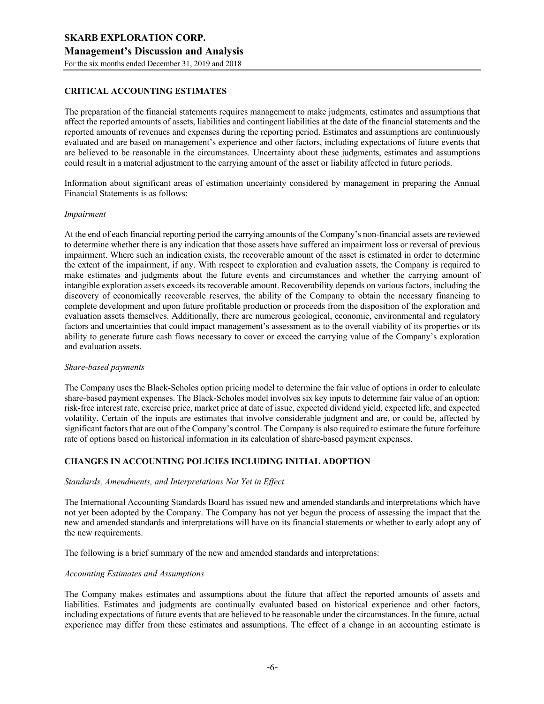# **CRITICAL ACCOUNTING ESTIMATES**

The preparation of the financial statements requires management to make judgments, estimates and assumptions that affect the reported amounts of assets, liabilities and contingent liabilities at the date of the financial statements and the reported amounts of revenues and expenses during the reporting period. Estimates and assumptions are continuously evaluated and are based on management's experience and other factors, including expectations of future events that are believed to be reasonable in the circumstances. Uncertainty about these judgments, estimates and assumptions could result in a material adjustment to the carrying amount of the asset or liability affected in future periods.

Information about significant areas of estimation uncertainty considered by management in preparing the Annual Financial Statements is as follows:

#### *Impairment*

At the end of each financial reporting period the carrying amounts of the Company's non-financial assets are reviewed to determine whether there is any indication that those assets have suffered an impairment loss or reversal of previous impairment. Where such an indication exists, the recoverable amount of the asset is estimated in order to determine the extent of the impairment, if any. With respect to exploration and evaluation assets, the Company is required to make estimates and judgments about the future events and circumstances and whether the carrying amount of intangible exploration assets exceeds its recoverable amount. Recoverability depends on various factors, including the discovery of economically recoverable reserves, the ability of the Company to obtain the necessary financing to complete development and upon future profitable production or proceeds from the disposition of the exploration and evaluation assets themselves. Additionally, there are numerous geological, economic, environmental and regulatory factors and uncertainties that could impact management's assessment as to the overall viability of its properties or its ability to generate future cash flows necessary to cover or exceed the carrying value of the Company's exploration and evaluation assets.

#### *Share-based payments*

The Company uses the Black-Scholes option pricing model to determine the fair value of options in order to calculate share-based payment expenses. The Black-Scholes model involves six key inputs to determine fair value of an option: risk-free interest rate, exercise price, market price at date of issue, expected dividend yield, expected life, and expected volatility. Certain of the inputs are estimates that involve considerable judgment and are, or could be, affected by significant factors that are out of the Company's control. The Company is also required to estimate the future forfeiture rate of options based on historical information in its calculation of share-based payment expenses.

### **CHANGES IN ACCOUNTING POLICIES INCLUDING INITIAL ADOPTION**

#### *Standards, Amendments, and Interpretations Not Yet in Effect*

The International Accounting Standards Board has issued new and amended standards and interpretations which have not yet been adopted by the Company. The Company has not yet begun the process of assessing the impact that the new and amended standards and interpretations will have on its financial statements or whether to early adopt any of the new requirements.

The following is a brief summary of the new and amended standards and interpretations:

#### *Accounting Estimates and Assumptions*

The Company makes estimates and assumptions about the future that affect the reported amounts of assets and liabilities. Estimates and judgments are continually evaluated based on historical experience and other factors, including expectations of future events that are believed to be reasonable under the circumstances. In the future, actual experience may differ from these estimates and assumptions. The effect of a change in an accounting estimate is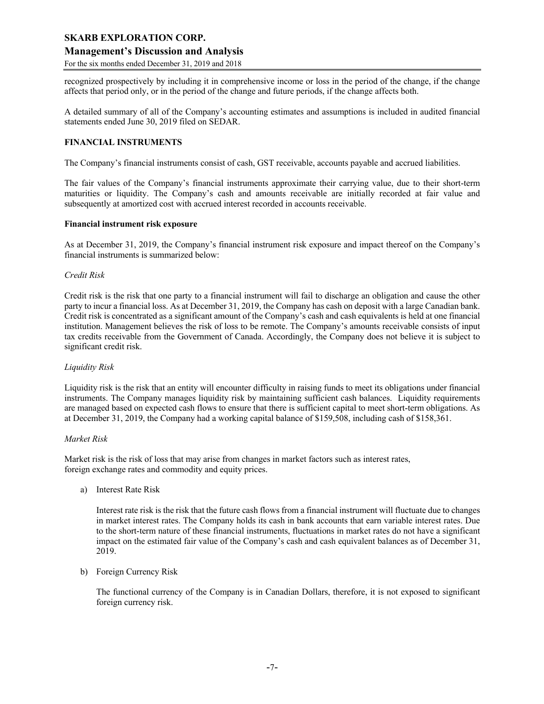# **Management's Discussion and Analysis**

For the six months ended December 31, 2019 and 2018

recognized prospectively by including it in comprehensive income or loss in the period of the change, if the change affects that period only, or in the period of the change and future periods, if the change affects both.

A detailed summary of all of the Company's accounting estimates and assumptions is included in audited financial statements ended June 30, 2019 filed on SEDAR.

### **FINANCIAL INSTRUMENTS**

The Company's financial instruments consist of cash, GST receivable, accounts payable and accrued liabilities.

The fair values of the Company's financial instruments approximate their carrying value, due to their short-term maturities or liquidity. The Company's cash and amounts receivable are initially recorded at fair value and subsequently at amortized cost with accrued interest recorded in accounts receivable.

#### **Financial instrument risk exposure**

As at December 31, 2019, the Company's financial instrument risk exposure and impact thereof on the Company's financial instruments is summarized below:

#### *Credit Risk*

Credit risk is the risk that one party to a financial instrument will fail to discharge an obligation and cause the other party to incur a financial loss. As at December 31, 2019, the Company has cash on deposit with a large Canadian bank. Credit risk is concentrated as a significant amount of the Company's cash and cash equivalents is held at one financial institution. Management believes the risk of loss to be remote. The Company's amounts receivable consists of input tax credits receivable from the Government of Canada. Accordingly, the Company does not believe it is subject to significant credit risk.

#### *Liquidity Risk*

Liquidity risk is the risk that an entity will encounter difficulty in raising funds to meet its obligations under financial instruments. The Company manages liquidity risk by maintaining sufficient cash balances. Liquidity requirements are managed based on expected cash flows to ensure that there is sufficient capital to meet short-term obligations. As at December 31, 2019, the Company had a working capital balance of \$159,508, including cash of \$158,361.

#### *Market Risk*

Market risk is the risk of loss that may arise from changes in market factors such as interest rates, foreign exchange rates and commodity and equity prices.

a) Interest Rate Risk

Interest rate risk is the risk that the future cash flows from a financial instrument will fluctuate due to changes in market interest rates. The Company holds its cash in bank accounts that earn variable interest rates. Due to the short-term nature of these financial instruments, fluctuations in market rates do not have a significant impact on the estimated fair value of the Company's cash and cash equivalent balances as of December 31, 2019.

b) Foreign Currency Risk

The functional currency of the Company is in Canadian Dollars, therefore, it is not exposed to significant foreign currency risk.